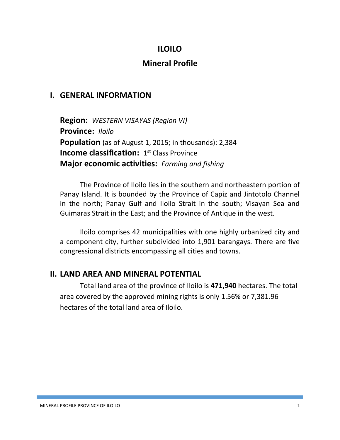### **ILOILO**

## **Mineral Profile**

### **I. GENERAL INFORMATION**

**Region:** *WESTERN VISAYAS (Region VI)* **Province:** *Iloilo* **Population** (as of August 1, 2015; in thousands): 2,384 **Income classification:** 1<sup>st</sup> Class Province **Major economic activities:** *Farming and fishing*

The Province of Iloilo lies in the southern and northeastern portion of Panay Island. It is bounded by the Province of Capiz and Jintotolo Channel in the north; Panay Gulf and Iloilo Strait in the south; Visayan Sea and Guimaras Strait in the East; and the Province of Antique in the west.

Iloilo comprises 42 municipalities with one highly urbanized city and a component city, further subdivided into 1,901 barangays. There are five congressional districts encompassing all cities and towns.

### **II. LAND AREA AND MINERAL POTENTIAL**

Total land area of the province of Iloilo is **471,940** hectares. The total area covered by the approved mining rights is only 1.56% or 7,381.96 hectares of the total land area of Iloilo.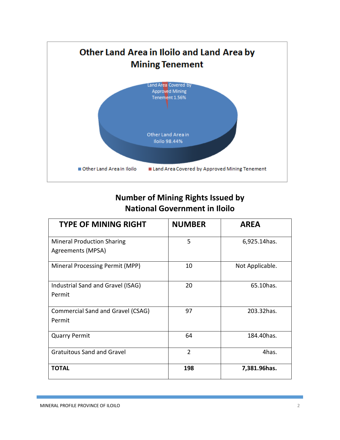

# **Number of Mining Rights Issued by National Government in Iloilo**

| <b>TYPE OF MINING RIGHT</b>       | <b>NUMBER</b>  | <b>AREA</b>     |
|-----------------------------------|----------------|-----------------|
| <b>Mineral Production Sharing</b> | 5              | 6,925.14 has.   |
| Agreements (MPSA)                 |                |                 |
| Mineral Processing Permit (MPP)   | 10             | Not Applicable. |
| Industrial Sand and Gravel (ISAG) | 20             | 65.10has.       |
| Permit                            |                |                 |
| Commercial Sand and Gravel (CSAG) | 97             | 203.32has.      |
| Permit                            |                |                 |
| <b>Quarry Permit</b>              | 64             | 184.40 has.     |
| <b>Gratuitous Sand and Gravel</b> | $\overline{2}$ | 4has.           |
| <b>TOTAL</b>                      | 198            | 7,381.96has.    |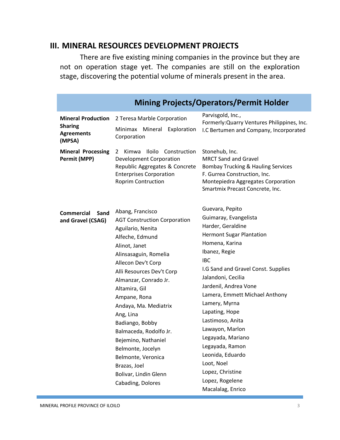### **III. MINERAL RESOURCES DEVELOPMENT PROJECTS**

There are five existing mining companies in the province but they are not on operation stage yet. The companies are still on the exploration stage, discovering the potential volume of minerals present in the area.

| <b>Mining Projects/Operators/Permit Holder</b>                             |                                                                                                                                                                                                                                                                                                                                                                                                                                                      |                                                                                                                                                                                                                                                                                                                                                                                                                                                   |  |  |
|----------------------------------------------------------------------------|------------------------------------------------------------------------------------------------------------------------------------------------------------------------------------------------------------------------------------------------------------------------------------------------------------------------------------------------------------------------------------------------------------------------------------------------------|---------------------------------------------------------------------------------------------------------------------------------------------------------------------------------------------------------------------------------------------------------------------------------------------------------------------------------------------------------------------------------------------------------------------------------------------------|--|--|
| <b>Mineral Production</b><br><b>Sharing</b><br><b>Agreements</b><br>(MPSA) | 2 Teresa Marble Corporation<br>Mineral<br>Minimax<br>Exploration<br>Corporation                                                                                                                                                                                                                                                                                                                                                                      | Parvisgold, Inc.,<br>Formerly: Quarry Ventures Philippines, Inc.<br>I.C Bertumen and Company, Incorporated                                                                                                                                                                                                                                                                                                                                        |  |  |
| <b>Mineral Processing</b><br>Permit (MPP)                                  | <b>Iloilo</b><br>Kimwa<br>Construction<br>2<br><b>Development Corporation</b><br>Republic Aggregates & Concrete<br><b>Enterprises Corporation</b><br><b>Roprim Contruction</b>                                                                                                                                                                                                                                                                       | Stonehub, Inc.<br><b>MRCT Sand and Gravel</b><br>Bombay Trucking & Hauling Services<br>F. Gurrea Construction, Inc.<br>Montepiedra Aggregates Corporation<br>Smartmix Precast Concrete, Inc.                                                                                                                                                                                                                                                      |  |  |
| Commercial<br>Sand<br>and Gravel (CSAG)                                    | Abang, Francisco<br><b>AGT Construction Corporation</b><br>Aguilario, Nenita<br>Alfeche, Edmund<br>Alinot, Janet<br>Alinsasaguin, Romelia<br>Allecon Dev't Corp<br>Alli Resources Dev't Corp<br>Almanzar, Conrado Jr.<br>Altamira, Gil<br>Ampane, Rona<br>Andaya, Ma. Mediatrix<br>Ang, Lina<br>Badiango, Bobby<br>Balmaceda, Rodolfo Jr.<br>Bejemino, Nathaniel<br>Belmonte, Jocelyn<br>Belmonte, Veronica<br>Brazas, Joel<br>Bolivar, Lindin Glenn | Guevara, Pepito<br>Guimaray, Evangelista<br>Harder, Geraldine<br><b>Hermont Sugar Plantation</b><br>Homena, Karina<br>Ibanez, Regie<br><b>IBC</b><br>I.G Sand and Gravel Const. Supplies<br>Jalandoni, Cecilia<br>Jardenil, Andrea Vone<br>Lamera, Emmett Michael Anthony<br>Lamery, Myrna<br>Lapating, Hope<br>Lastimoso, Anita<br>Lawayon, Marlon<br>Legayada, Mariano<br>Legayada, Ramon<br>Leonida, Eduardo<br>Loot, Noel<br>Lopez, Christine |  |  |
|                                                                            | Cabading, Dolores                                                                                                                                                                                                                                                                                                                                                                                                                                    | Lopez, Rogelene<br>Macalalag, Enrico                                                                                                                                                                                                                                                                                                                                                                                                              |  |  |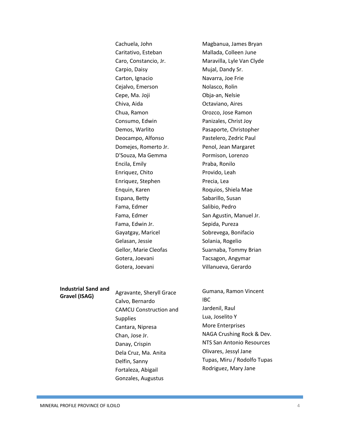Cachuela, John Caritativo, Esteban Caro, Constancio, Jr. Carpio, Daisy Carton, Ignacio Cejalvo, Emerson Cepe, Ma. Joji Chiva, Aida Chua, Ramon Consumo, Edwin Demos, Warlito Deocampo, Alfonso Domejes, Romerto Jr. D'Souza, Ma Gemma Encila, Emily Enriquez, Chito Enriquez, Stephen Enquin, Karen Espana, Betty Fama, Edmer Fama, Edmer Fama, Edwin Jr. Gayatgay, Maricel Gelasan, Jessie Gellor, Marie Cleofas Gotera, Joevani Gotera, Joevani

Magbanua, James Bryan Mallada, Colleen June Maravilla, Lyle Van Clyde Mujal, Dandy Sr. Navarra, Joe Frie Nolasco, Rolin Obja-an, Nelsie Octaviano, Aires Orozco, Jose Ramon Panizales, Christ Joy Pasaporte, Christopher Pastelero, Zedric Paul Penol, Jean Margaret Pormison, Lorenzo Praba, Ronilo Provido, Leah Precia, Lea Roquios, Shiela Mae Sabarillo, Susan Salibio, Pedro San Agustin, Manuel Jr. Sepida, Pureza Sobrevega, Bonifacio Solania, Rogelio Suarnaba, Tommy Brian Tacsagon, Angymar Villanueva, Gerardo

#### **Industrial Sand and Gravel (ISAG)**

Agravante, Sheryll Grace Calvo, Bernardo CAMCU Construction and Supplies Cantara, Nipresa Chan, Jose Jr. Danay, Crispin Dela Cruz, Ma. Anita Delfin, Sanny

> Fortaleza, Abigail Gonzales, Augustus

### Gumana, Ramon Vincent IBC Jardenil, Raul Lua, Joselito Y More Enterprises NAGA Crushing Rock & Dev. NTS San Antonio Resources Olivares, Jessyl Jane Tupas, Miru / Rodolfo Tupas Rodriguez, Mary Jane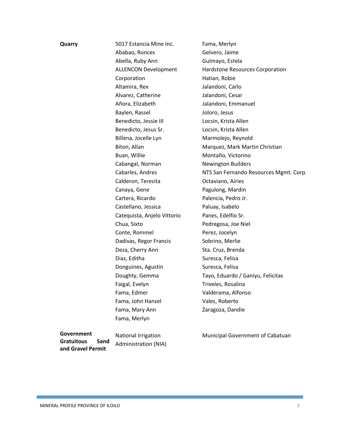| Quarry                 | 5017 Estancia Mine Inc.     | Fama, Merlyn                           |
|------------------------|-----------------------------|----------------------------------------|
|                        | Ababao, Ronces              | Gelvero, Jaime                         |
|                        | Abella, Ruby Ann            | Gulmayo, Estela                        |
|                        | <b>ALLENCON Development</b> | Hardstone Resources Corporation        |
|                        | Corporation                 | Hatian, Robie                          |
|                        | Altamira, Rex               | Jalandoni, Carlo                       |
|                        | Alvarez, Catherine          | Jalandoni, Cesar                       |
|                        | Añora, Elizabeth            | Jalandoni, Emmanuel                    |
|                        | Baylen, Rassel              | Joloro, Jesus                          |
|                        | Benedicto, Jessie III       | Locsin, Krista Allen                   |
|                        | Benedicto, Jesus Sr.        | Locsin, Krista Allen                   |
|                        | Billena, Jocelle Lyn        | Marmolejo, Reynold                     |
|                        | Biton, Allan                | Marquez, Mark Martin Christian         |
|                        | Buan, Willie                | Montaño, Victorino                     |
|                        | Cabangal, Norman            | <b>Newington Builders</b>              |
|                        | Cabarles, Andres            | NTS San Fernando Resources Mgmt. Corp. |
|                        | Calderon, Teresita          | Octaviano, Airies                      |
|                        | Canaya, Gene                | Pagulong, Mardin                       |
|                        | Cartera, Ricardo            | Palencia, Pedro Jr.                    |
|                        | Castellano, Jessica         | Paluay, Isabelo                        |
|                        | Catequista, Anjelo Vittorio | Panes, Edelfio Sr.                     |
|                        | Chua, Sixto                 | Pedregosa, Joe Niel                    |
|                        | Conte, Rommel               | Perez, Jocelyn                         |
|                        | Dadivas, Regor Francis      | Sobrino, Merlie                        |
|                        | Deza, Cherry Ann            | Sta. Cruz, Brenda                      |
|                        | Diaz, Editha                | Suresca, Felisa                        |
|                        | Donguines, Agustin          | Suresca, Felisa                        |
|                        | Doughty, Gemma              | Tayo, Eduardo / Ganiyu, Felicitas      |
|                        | Faigal, Evelyn              | Triveles, Rosalina                     |
|                        | Fama, Edmer                 | Valderama, Alfonso                     |
|                        | Fama, John Hanzel           | Vales, Roberto                         |
|                        | Fama, Mary Ann              | Zaragoza, Dandie                       |
|                        | Fama, Merlyn                |                                        |
| $\mathsf{Conformment}$ |                             |                                        |

**Government Gratuitous Sand and Gravel Permit**

National Irrigation Administration (NIA)

Municipal Government of Cabatuan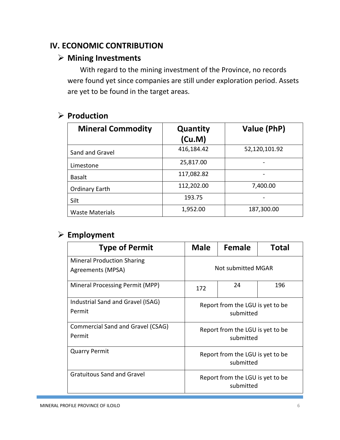### **IV. ECONOMIC CONTRIBUTION**

### **Mining Investments**

With regard to the mining investment of the Province, no records were found yet since companies are still under exploration period. Assets are yet to be found in the target areas.

### **Production**

| <b>Mineral Commodity</b> | Quantity<br>(Cu.M) | Value (PhP)   |
|--------------------------|--------------------|---------------|
| Sand and Gravel          | 416,184.42         | 52,120,101.92 |
| Limestone                | 25,817.00          |               |
| <b>Basalt</b>            | 117,082.82         |               |
| <b>Ordinary Earth</b>    | 112,202.00         | 7,400.00      |
| Silt                     | 193.75             |               |
| <b>Waste Materials</b>   | 1,952.00           | 187,300.00    |

### **Employment**

| <b>Type of Permit</b>                                  | <b>Male</b>                                   | Female | <b>Total</b> |
|--------------------------------------------------------|-----------------------------------------------|--------|--------------|
| <b>Mineral Production Sharing</b><br>Agreements (MPSA) | Not submitted MGAR                            |        |              |
| Mineral Processing Permit (MPP)                        | 172                                           | 24     | 196          |
| Industrial Sand and Gravel (ISAG)<br>Permit            | Report from the LGU is yet to be<br>submitted |        |              |
| Commercial Sand and Gravel (CSAG)<br>Permit            | Report from the LGU is yet to be<br>submitted |        |              |
| <b>Quarry Permit</b>                                   | Report from the LGU is yet to be<br>submitted |        |              |
| Gratuitous Sand and Gravel                             | Report from the LGU is yet to be<br>submitted |        |              |